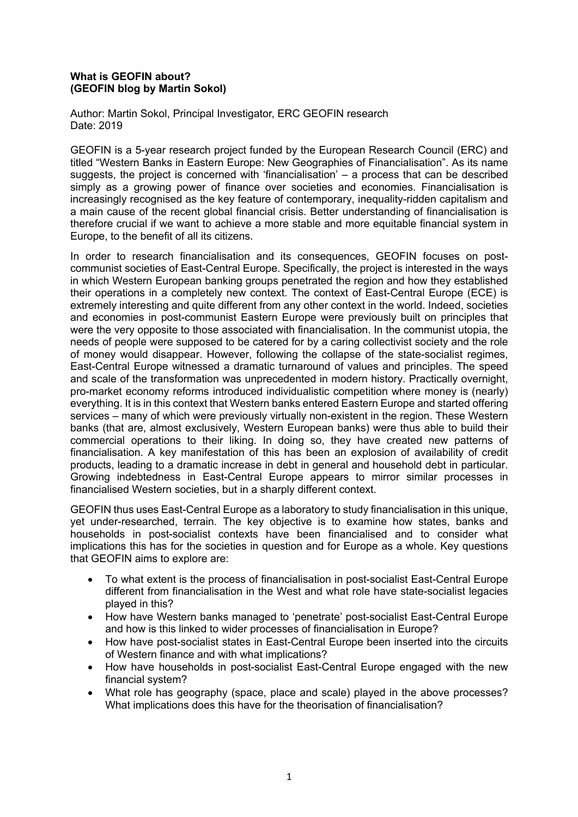## **What is GEOFIN about? (GEOFIN blog by Martin Sokol)**

Author: Martin Sokol, Principal Investigator, ERC GEOFIN research Date: 2019

GEOFIN is a 5-year research project funded by the European Research Council (ERC) and titled "Western Banks in Eastern Europe: New Geographies of Financialisation". As its name suggests, the project is concerned with 'financialisation' – a process that can be described simply as a growing power of finance over societies and economies. Financialisation is increasingly recognised as the key feature of contemporary, inequality-ridden capitalism and a main cause of the recent global financial crisis. Better understanding of financialisation is therefore crucial if we want to achieve a more stable and more equitable financial system in Europe, to the benefit of all its citizens.

In order to research financialisation and its consequences, GEOFIN focuses on postcommunist societies of East-Central Europe. Specifically, the project is interested in the ways in which Western European banking groups penetrated the region and how they established their operations in a completely new context. The context of East-Central Europe (ECE) is extremely interesting and quite different from any other context in the world. Indeed, societies and economies in post-communist Eastern Europe were previously built on principles that were the very opposite to those associated with financialisation. In the communist utopia, the needs of people were supposed to be catered for by a caring collectivist society and the role of money would disappear. However, following the collapse of the state-socialist regimes, East-Central Europe witnessed a dramatic turnaround of values and principles. The speed and scale of the transformation was unprecedented in modern history. Practically overnight, pro-market economy reforms introduced individualistic competition where money is (nearly) everything. It is in this context that Western banks entered Eastern Europe and started offering services – many of which were previously virtually non-existent in the region. These Western banks (that are, almost exclusively, Western European banks) were thus able to build their commercial operations to their liking. In doing so, they have created new patterns of financialisation. A key manifestation of this has been an explosion of availability of credit products, leading to a dramatic increase in debt in general and household debt in particular. Growing indebtedness in East-Central Europe appears to mirror similar processes in financialised Western societies, but in a sharply different context.

GEOFIN thus uses East-Central Europe as a laboratory to study financialisation in this unique, yet under-researched, terrain. The key objective is to examine how states, banks and households in post-socialist contexts have been financialised and to consider what implications this has for the societies in question and for Europe as a whole. Key questions that GEOFIN aims to explore are:

- To what extent is the process of financialisation in post-socialist East-Central Europe different from financialisation in the West and what role have state-socialist legacies played in this?
- How have Western banks managed to 'penetrate' post-socialist East-Central Europe and how is this linked to wider processes of financialisation in Europe?
- How have post-socialist states in East-Central Europe been inserted into the circuits of Western finance and with what implications?
- How have households in post-socialist East-Central Europe engaged with the new financial system?
- What role has geography (space, place and scale) played in the above processes? What implications does this have for the theorisation of financialisation?